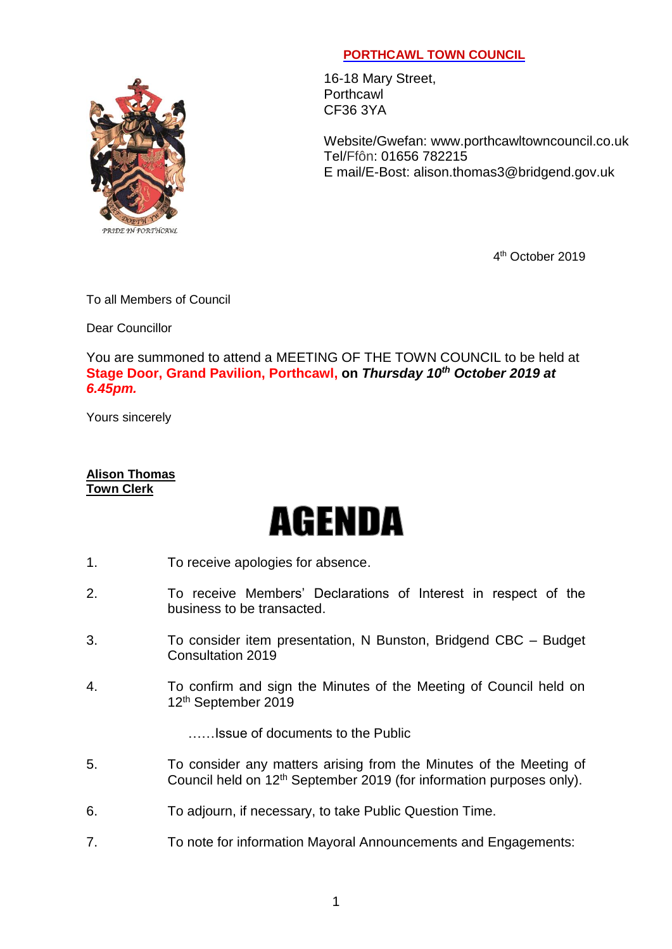## PRIDE IN PORTHCAWL

## **PORTHCAWL TOWN COUNCIL**

16-18 Mary Street, **Porthcawl** CF36 3YA

Website/Gwefan: [www.porthcawltowncouncil.co.uk](http://www.porthcawltowncouncil.co.uk/) Tel/Ffôn: 01656 782215 E mail/E-Bost: alison.thomas3@bridgend.gov.uk

4 th October 2019

To all Members of Council

Dear Councillor

You are summoned to attend a MEETING OF THE TOWN COUNCIL to be held at **Stage Door, Grand Pavilion, Porthcawl, on** *Thursday 10th October 2019 at 6.45pm.*

Yours sincerely

## **Alison Thomas Town Clerk**

## **AGENDA**

- 1. To receive apologies for absence.
- 2. To receive Members' Declarations of Interest in respect of the business to be transacted.
- 3. To consider item presentation, N Bunston, Bridgend CBC Budget Consultation 2019
- 4. To confirm and sign the Minutes of the Meeting of Council held on 12 th September 2019

……Issue of documents to the Public

- 5. To consider any matters arising from the Minutes of the Meeting of Council held on 12<sup>th</sup> September 2019 (for information purposes only).
- 6. To adjourn, if necessary, to take Public Question Time.
- 7. To note for information Mayoral Announcements and Engagements: